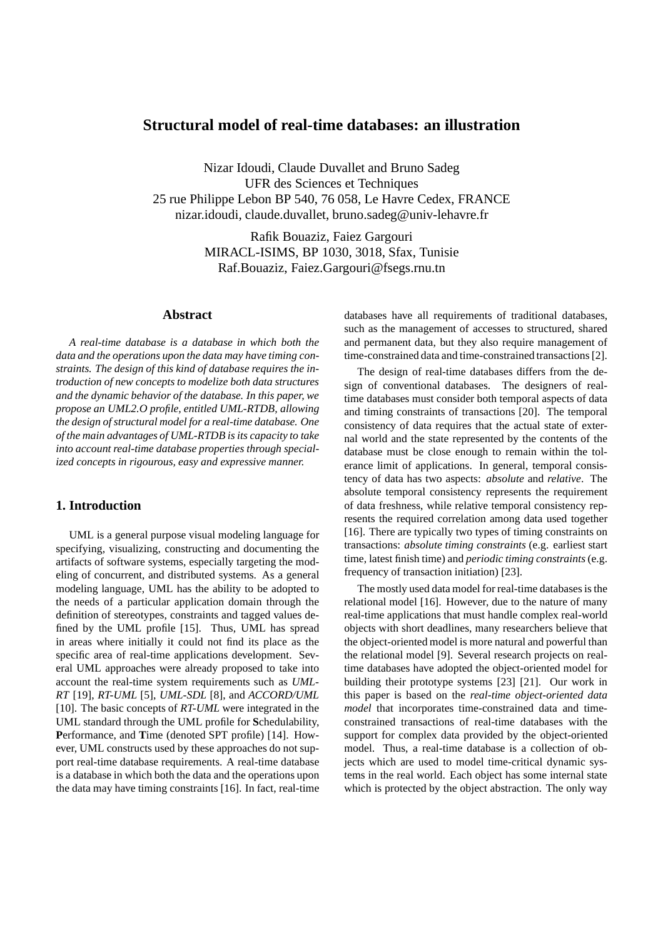# **Structural model of real-time databases: an illustration**

Nizar Idoudi, Claude Duvallet and Bruno Sadeg UFR des Sciences et Techniques 25 rue Philippe Lebon BP 540, 76 058, Le Havre Cedex, FRANCE nizar.idoudi, claude.duvallet, bruno.sadeg@univ-lehavre.fr

> Rafik Bouaziz, Faiez Gargouri MIRACL-ISIMS, BP 1030, 3018, Sfax, Tunisie Raf.Bouaziz, Faiez.Gargouri@fsegs.rnu.tn

### **Abstract**

*A real-time database is a database in which both the data and the operations upon the data may have timing constraints. The design of this kind of database requires the introduction of new concepts to modelize both data structures and the dynamic behavior of the database. In this paper, we propose an UML2.O profile, entitled UML-RTDB, allowing the design of structural model for a real-time database. One of the main advantages of UML-RTDB is its capacity to take into account real-time database properties through specialized concepts in rigourous, easy and expressive manner.*

# **1. Introduction**

UML is a general purpose visual modeling language for specifying, visualizing, constructing and documenting the artifacts of software systems, especially targeting the modeling of concurrent, and distributed systems. As a general modeling language, UML has the ability to be adopted to the needs of a particular application domain through the definition of stereotypes, constraints and tagged values defined by the UML profile [15]. Thus, UML has spread in areas where initially it could not find its place as the specific area of real-time applications development. Several UML approaches were already proposed to take into account the real-time system requirements such as *UML-RT* [19], *RT-UML* [5], *UML-SDL* [8], and *ACCORD/UML* [10]. The basic concepts of *RT-UML* were integrated in the UML standard through the UML profile for **S**chedulability, **P**erformance, and **T**ime (denoted SPT profile) [14]. However, UML constructs used by these approaches do not support real-time database requirements. A real-time database is a database in which both the data and the operations upon the data may have timing constraints [16]. In fact, real-time databases have all requirements of traditional databases, such as the management of accesses to structured, shared and permanent data, but they also require management of time-constrained data and time-constrained transactions[2].

The design of real-time databases differs from the design of conventional databases. The designers of realtime databases must consider both temporal aspects of data and timing constraints of transactions [20]. The temporal consistency of data requires that the actual state of external world and the state represented by the contents of the database must be close enough to remain within the tolerance limit of applications. In general, temporal consistency of data has two aspects: *absolute* and *relative*. The absolute temporal consistency represents the requirement of data freshness, while relative temporal consistency represents the required correlation among data used together [16]. There are typically two types of timing constraints on transactions: *absolute timing constraints* (e.g. earliest start time, latest finish time) and *periodic timing constraints*(e.g. frequency of transaction initiation) [23].

The mostly used data model for real-time databases is the relational model [16]. However, due to the nature of many real-time applications that must handle complex real-world objects with short deadlines, many researchers believe that the object-oriented model is more natural and powerful than the relational model [9]. Several research projects on realtime databases have adopted the object-oriented model for building their prototype systems [23] [21]. Our work in this paper is based on the *real-time object-oriented data model* that incorporates time-constrained data and timeconstrained transactions of real-time databases with the support for complex data provided by the object-oriented model. Thus, a real-time database is a collection of objects which are used to model time-critical dynamic systems in the real world. Each object has some internal state which is protected by the object abstraction. The only way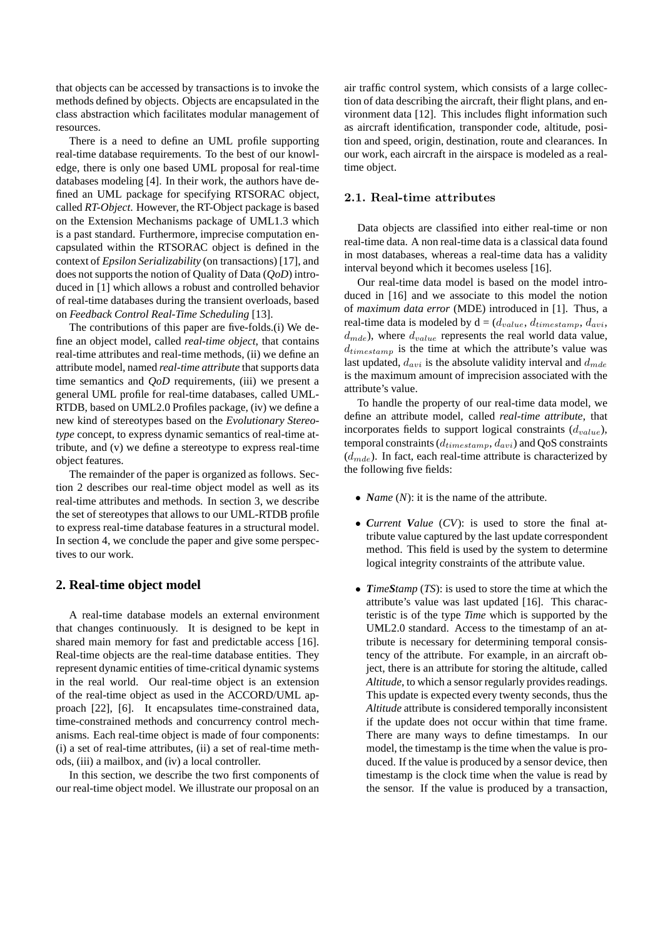that objects can be accessed by transactions is to invoke the methods defined by objects. Objects are encapsulated in the class abstraction which facilitates modular management of resources.

There is a need to define an UML profile supporting real-time database requirements. To the best of our knowledge, there is only one based UML proposal for real-time databases modeling [4]. In their work, the authors have defined an UML package for specifying RTSORAC object, called *RT-Object*. However, the RT-Object package is based on the Extension Mechanisms package of UML1.3 which is a past standard. Furthermore, imprecise computation encapsulated within the RTSORAC object is defined in the context of *Epsilon Serializability* (on transactions) [17], and does not supports the notion of Quality of Data (*QoD*) introduced in [1] which allows a robust and controlled behavior of real-time databases during the transient overloads, based on *Feedback Control Real-Time Scheduling* [13].

The contributions of this paper are five-folds.(i) We define an object model, called *real-time object*, that contains real-time attributes and real-time methods, (ii) we define an attribute model, named *real-time attribute* that supports data time semantics and *QoD* requirements, (iii) we present a general UML profile for real-time databases, called UML-RTDB, based on UML2.0 Profiles package, (iv) we define a new kind of stereotypes based on the *Evolutionary Stereotype* concept, to express dynamic semantics of real-time attribute, and (v) we define a stereotype to express real-time object features.

The remainder of the paper is organized as follows. Section 2 describes our real-time object model as well as its real-time attributes and methods. In section 3, we describe the set of stereotypes that allows to our UML-RTDB profile to express real-time database features in a structural model. In section 4, we conclude the paper and give some perspectives to our work.

### **2. Real-time object model**

A real-time database models an external environment that changes continuously. It is designed to be kept in shared main memory for fast and predictable access [16]. Real-time objects are the real-time database entities. They represent dynamic entities of time-critical dynamic systems in the real world. Our real-time object is an extension of the real-time object as used in the ACCORD/UML approach [22], [6]. It encapsulates time-constrained data, time-constrained methods and concurrency control mechanisms. Each real-time object is made of four components: (i) a set of real-time attributes, (ii) a set of real-time methods, (iii) a mailbox, and (iv) a local controller.

In this section, we describe the two first components of our real-time object model. We illustrate our proposal on an air traffic control system, which consists of a large collection of data describing the aircraft, their flight plans, and environment data [12]. This includes flight information such as aircraft identification, transponder code, altitude, position and speed, origin, destination, route and clearances. In our work, each aircraft in the airspace is modeled as a realtime object.

### 2.1. Real-time attributes

Data objects are classified into either real-time or non real-time data. A non real-time data is a classical data found in most databases, whereas a real-time data has a validity interval beyond which it becomes useless [16].

Our real-time data model is based on the model introduced in [16] and we associate to this model the notion of *maximum data error* (MDE) introduced in [1]. Thus, a real-time data is modeled by  $d = (d_{value}, d_{timestamp}, d_{avi},$  $d_{mde}$ ), where  $d_{value}$  represents the real world data value,  $d_{timestamp}$  is the time at which the attribute's value was last updated,  $d_{avi}$  is the absolute validity interval and  $d_{mde}$ is the maximum amount of imprecision associated with the attribute's value.

To handle the property of our real-time data model, we define an attribute model, called *real-time attribute*, that incorporates fields to support logical constraints  $(d_{value})$ , temporal constraints  $(d_{timestamp}, d_{avi})$  and QoS constraints  $(d_{mde})$ . In fact, each real-time attribute is characterized by the following five fields:

- *Name* (*N*): it is the name of the attribute.
- *Current Value* (*CV*): is used to store the final attribute value captured by the last update correspondent method. This field is used by the system to determine logical integrity constraints of the attribute value.
- *TimeStamp* (*TS*): is used to store the time at which the attribute's value was last updated [16]. This characteristic is of the type *Time* which is supported by the UML2.0 standard. Access to the timestamp of an attribute is necessary for determining temporal consistency of the attribute. For example, in an aircraft object, there is an attribute for storing the altitude, called *Altitude*, to which a sensor regularly provides readings. This update is expected every twenty seconds, thus the *Altitude* attribute is considered temporally inconsistent if the update does not occur within that time frame. There are many ways to define timestamps. In our model, the timestamp is the time when the value is produced. If the value is produced by a sensor device, then timestamp is the clock time when the value is read by the sensor. If the value is produced by a transaction,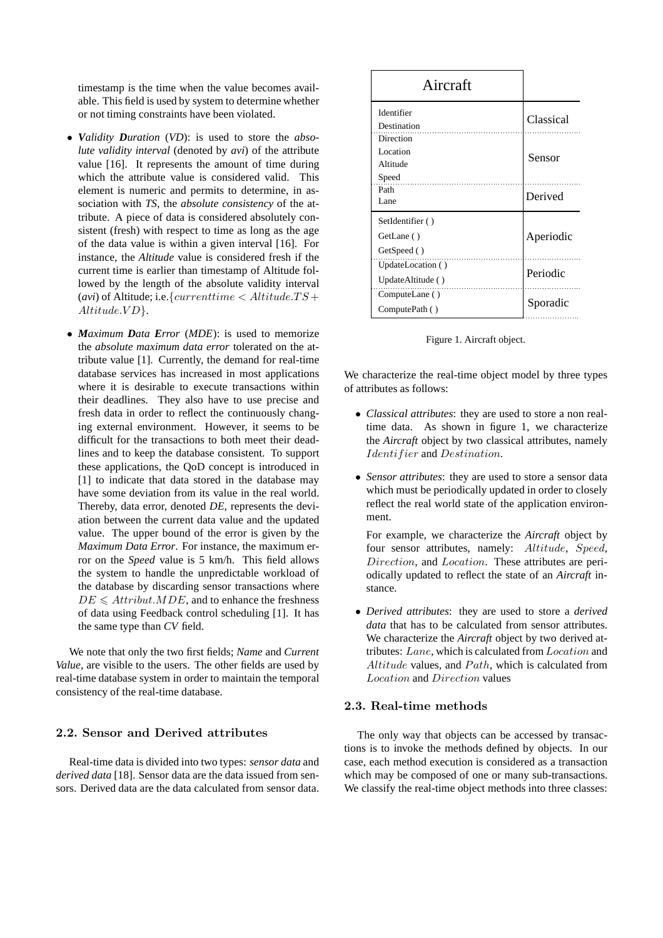timestamp is the time when the value becomes available. This field is used by system to determine whether or not timing constraints have been violated.

- *Validity Duration* (*VD*): is used to store the *absolute validity interval* (denoted by *avi*) of the attribute value [16]. It represents the amount of time during which the attribute value is considered valid. This element is numeric and permits to determine, in association with *TS*, the *absolute consistency* of the attribute. A piece of data is considered absolutely consistent (fresh) with respect to time as long as the age of the data value is within a given interval [16]. For instance, the *Altitude* value is considered fresh if the current time is earlier than timestamp of Altitude followed by the length of the absolute validity interval (*avi*) of Altitude; i.e. {*currenttime < Altitude.TS* + Altitude.VD\.
- *Maximum Data Error* (*MDE*): is used to memorize the *absolute maximum data error* tolerated on the attribute value [1]. Currently, the demand for real-time database services has increased in most applications where it is desirable to execute transactions within their deadlines. They also have to use precise and fresh data in order to reflect the continuously changing external environment. However, it seems to be difficult for the transactions to both meet their deadlines and to keep the database consistent. To support these applications, the QoD concept is introduced in [1] to indicate that data stored in the database may have some deviation from its value in the real world. Thereby, data error, denoted *DE*, represents the deviation between the current data value and the updated value. The upper bound of the error is given by the *Maximum Data Error*. For instance, the maximum error on the *Speed* value is 5 km/h. This field allows the system to handle the unpredictable workload of the database by discarding sensor transactions where  $DE \leq$  Attribut. MDE, and to enhance the freshness of data using Feedback control scheduling [1]. It has the same type than *CV* field.

We note that only the two first fields; *Name* and *Current Value*, are visible to the users. The other fields are used by real-time database system in order to maintain the temporal consistency of the real-time database.

### 2.2. Sensor and Derived attributes

Real-time data is divided into two types: *sensor data* and *derived data* [18]. Sensor data are the data issued from sensors. Derived data are the data calculated from sensor data.

| Aircraft                                      |           |
|-----------------------------------------------|-----------|
| Identifier<br>Destination                     | Classical |
| Direction<br>Location<br>Altitude<br>Speed    | Sensor    |
| Path<br>Lane                                  | Derived   |
| SetIdentifier ()<br>GetLane ()<br>GetSpeed () | Aperiodic |
| UpdateLocation ()<br>UpdateAltitude ()        | Periodic  |
| ComputeLane ()<br>ComputePath ()              | Sporadic  |

Figure 1. Aircraft object.

We characterize the real-time object model by three types of attributes as follows:

- *Classical attributes*: they are used to store a non realtime data. As shown in figure 1, we characterize the *Aircraft* object by two classical attributes, namely Identifier and Destination.
- *Sensor attributes*: they are used to store a sensor data which must be periodically updated in order to closely reflect the real world state of the application environment.

For example, we characterize the *Aircraft* object by four sensor attributes, namely: Altitude, Speed, Direction, and Location. These attributes are periodically updated to reflect the state of an *Aircraft* instance.

• *Derived attributes*: they are used to store a *derived data* that has to be calculated from sensor attributes. We characterize the *Aircraft* object by two derived attributes: Lane, which is calculated from Location and  $Altitude$  values, and  $Path$ , which is calculated from Location and Direction values

#### 2.3. Real-time methods

The only way that objects can be accessed by transactions is to invoke the methods defined by objects. In our case, each method execution is considered as a transaction which may be composed of one or many sub-transactions. We classify the real-time object methods into three classes: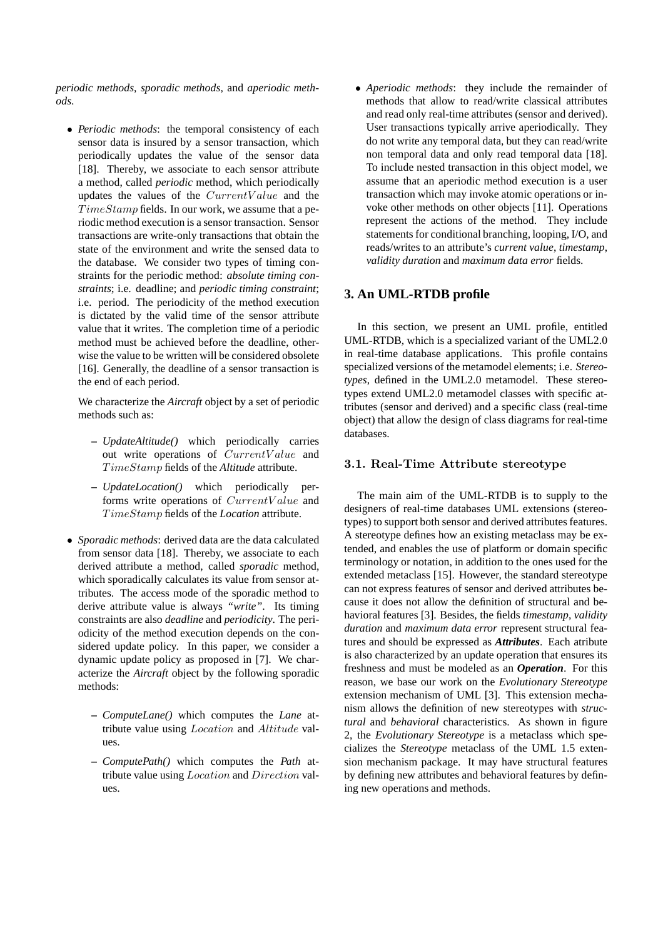*periodic methods*, *sporadic methods*, and *aperiodic methods*.

• *Periodic methods*: the temporal consistency of each sensor data is insured by a sensor transaction, which periodically updates the value of the sensor data [18]. Thereby, we associate to each sensor attribute a method, called *periodic* method, which periodically updates the values of the  $CurrentValue$  and the  $TimeStamp$  fields. In our work, we assume that a periodic method execution is a sensor transaction. Sensor transactions are write-only transactions that obtain the state of the environment and write the sensed data to the database. We consider two types of timing constraints for the periodic method: *absolute timing constraints*; i.e. deadline; and *periodic timing constraint*; i.e. period. The periodicity of the method execution is dictated by the valid time of the sensor attribute value that it writes. The completion time of a periodic method must be achieved before the deadline, otherwise the value to be written will be considered obsolete [16]. Generally, the deadline of a sensor transaction is the end of each period.

We characterize the *Aircraft* object by a set of periodic methods such as:

- **–** *UpdateAltitude()* which periodically carries out write operations of CurrentV alue and TimeStamp fields of the *Altitude* attribute.
- **–** *UpdateLocation()* which periodically performs write operations of CurrentV alue and TimeStamp fields of the *Location* attribute.
- *Sporadic methods*: derived data are the data calculated from sensor data [18]. Thereby, we associate to each derived attribute a method, called *sporadic* method, which sporadically calculates its value from sensor attributes. The access mode of the sporadic method to derive attribute value is always *"write"*. Its timing constraints are also *deadline* and *periodicity*. The periodicity of the method execution depends on the considered update policy. In this paper, we consider a dynamic update policy as proposed in [7]. We characterize the *Aircraft* object by the following sporadic methods:
	- **–** *ComputeLane()* which computes the *Lane* attribute value using Location and Altitude values.
	- **–** *ComputePath()* which computes the *Path* attribute value using Location and Direction values.

• *Aperiodic methods*: they include the remainder of methods that allow to read/write classical attributes and read only real-time attributes (sensor and derived). User transactions typically arrive aperiodically. They do not write any temporal data, but they can read/write non temporal data and only read temporal data [18]. To include nested transaction in this object model, we assume that an aperiodic method execution is a user transaction which may invoke atomic operations or invoke other methods on other objects [11]. Operations represent the actions of the method. They include statements for conditional branching, looping, I/O, and reads/writes to an attribute's *current value*, *timestamp*, *validity duration* and *maximum data error* fields.

# **3. An UML-RTDB profile**

In this section, we present an UML profile, entitled UML-RTDB, which is a specialized variant of the UML2.0 in real-time database applications. This profile contains specialized versions of the metamodel elements; i.e. *Stereotypes*, defined in the UML2.0 metamodel. These stereotypes extend UML2.0 metamodel classes with specific attributes (sensor and derived) and a specific class (real-time object) that allow the design of class diagrams for real-time databases.

#### 3.1. Real-Time Attribute stereotype

The main aim of the UML-RTDB is to supply to the designers of real-time databases UML extensions (stereotypes) to support both sensor and derived attributes features. A stereotype defines how an existing metaclass may be extended, and enables the use of platform or domain specific terminology or notation, in addition to the ones used for the extended metaclass [15]. However, the standard stereotype can not express features of sensor and derived attributes because it does not allow the definition of structural and behavioral features [3]. Besides, the fields *timestamp*, *validity duration* and *maximum data error* represent structural features and should be expressed as *Attributes*. Each atribute is also characterized by an update operation that ensures its freshness and must be modeled as an *Operation*. For this reason, we base our work on the *Evolutionary Stereotype* extension mechanism of UML [3]. This extension mechanism allows the definition of new stereotypes with *structural* and *behavioral* characteristics. As shown in figure 2, the *Evolutionary Stereotype* is a metaclass which specializes the *Stereotype* metaclass of the UML 1.5 extension mechanism package. It may have structural features by defining new attributes and behavioral features by defining new operations and methods.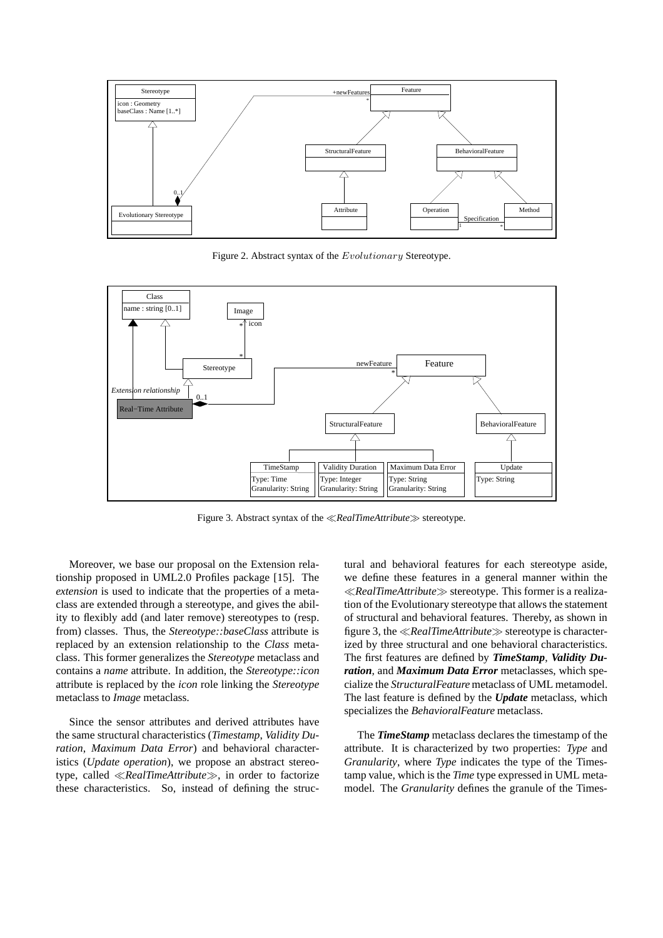

Figure 2. Abstract syntax of the Evolutionary Stereotype.



Figure 3. Abstract syntax of the ≪*RealTimeAttribute*≫ stereotype.

Moreover, we base our proposal on the Extension relationship proposed in UML2.0 Profiles package [15]. The *extension* is used to indicate that the properties of a metaclass are extended through a stereotype, and gives the ability to flexibly add (and later remove) stereotypes to (resp. from) classes. Thus, the *Stereotype::baseClass* attribute is replaced by an extension relationship to the *Class* metaclass. This former generalizes the *Stereotype* metaclass and contains a *name* attribute. In addition, the *Stereotype::icon* attribute is replaced by the *icon* role linking the *Stereotype* metaclass to *Image* metaclass.

Since the sensor attributes and derived attributes have the same structural characteristics (*Timestamp*, *Validity Duration*, *Maximum Data Error*) and behavioral characteristics (*Update operation*), we propose an abstract stereotype, called ≪*RealTimeAttribute*≫, in order to factorize these characteristics. So, instead of defining the structural and behavioral features for each stereotype aside, we define these features in a general manner within the ≪*RealTimeAttribute*≫ stereotype. This former is a realization of the Evolutionary stereotype that allows the statement of structural and behavioral features. Thereby, as shown in figure 3, the ≪*RealTimeAttribute*≫ stereotype is characterized by three structural and one behavioral characteristics. The first features are defined by *TimeStamp*, *Validity Duration*, and *Maximum Data Error* metaclasses, which specialize the *StructuralFeature* metaclass of UML metamodel. The last feature is defined by the *Update* metaclass, which specializes the *BehavioralFeature* metaclass.

The *TimeStamp* metaclass declares the timestamp of the attribute. It is characterized by two properties: *Type* and *Granularity*, where *Type* indicates the type of the Timestamp value, which is the *Time* type expressed in UML metamodel. The *Granularity* defines the granule of the Times-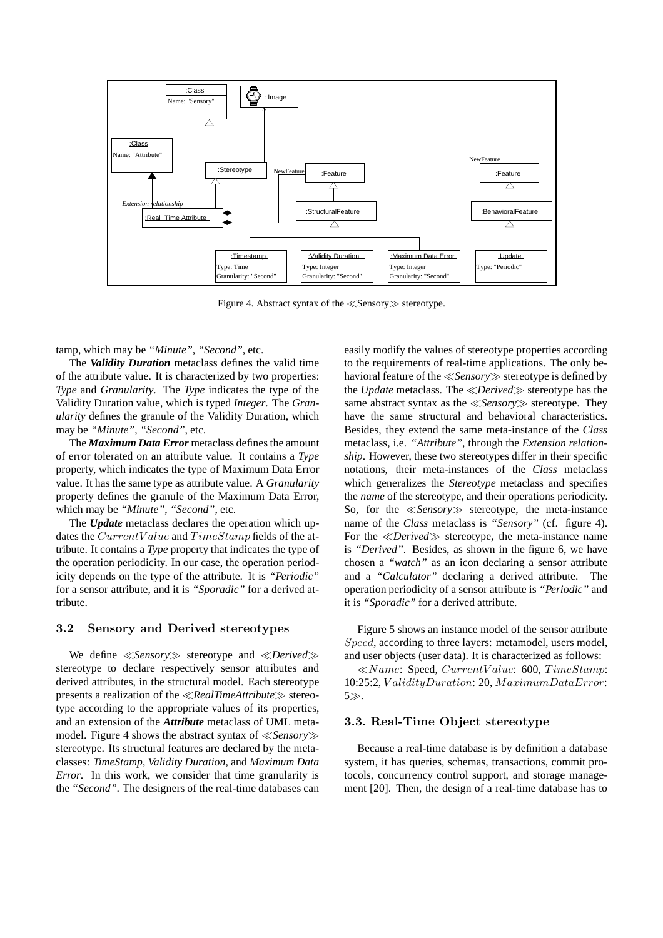

Figure 4. Abstract syntax of the ≪Sensory≫ stereotype.

tamp, which may be *"Minute"*, *"Second"*, etc.

The *Validity Duration* metaclass defines the valid time of the attribute value. It is characterized by two properties: *Type* and *Granularity*. The *Type* indicates the type of the Validity Duration value, which is typed *Integer*. The *Granularity* defines the granule of the Validity Duration, which may be *"Minute"*, *"Second"*, etc.

The *Maximum Data Error* metaclass defines the amount of error tolerated on an attribute value. It contains a *Type* property, which indicates the type of Maximum Data Error value. It has the same type as attribute value. A *Granularity* property defines the granule of the Maximum Data Error, which may be *"Minute"*, *"Second"*, etc.

The *Update* metaclass declares the operation which updates the CurrentValue and TimeStamp fields of the attribute. It contains a *Type* property that indicates the type of the operation periodicity. In our case, the operation periodicity depends on the type of the attribute. It is *"Periodic"* for a sensor attribute, and it is *"Sporadic"* for a derived attribute.

#### 3.2 Sensory and Derived stereotypes

We define ≪*Sensory*≫ stereotype and ≪*Derived*≫ stereotype to declare respectively sensor attributes and derived attributes, in the structural model. Each stereotype presents a realization of the ≪*RealTimeAttribute*≫ stereotype according to the appropriate values of its properties, and an extension of the *Attribute* metaclass of UML metamodel. Figure 4 shows the abstract syntax of ≪*Sensory*≫ stereotype. Its structural features are declared by the metaclasses: *TimeStamp*, *Validity Duration*, and *Maximum Data Error*. In this work, we consider that time granularity is the *"Second"*. The designers of the real-time databases can easily modify the values of stereotype properties according to the requirements of real-time applications. The only behavioral feature of the ≪*Sensory*≫ stereotype is defined by the *Update* metaclass. The ≪*Derived*≫ stereotype has the same abstract syntax as the ≪*Sensory*≫ stereotype. They have the same structural and behavioral characteristics. Besides, they extend the same meta-instance of the *Class* metaclass, i.e. *"Attribute"*, through the *Extension relationship*. However, these two stereotypes differ in their specific notations, their meta-instances of the *Class* metaclass which generalizes the *Stereotype* metaclass and specifies the *name* of the stereotype, and their operations periodicity. So, for the ≪*Sensory*≫ stereotype, the meta-instance name of the *Class* metaclass is *"Sensory"* (cf. figure 4). For the ≪*Derived*≫ stereotype, the meta-instance name is *"Derived"*. Besides, as shown in the figure 6, we have chosen a *"watch"* as an icon declaring a sensor attribute and a *"Calculator"* declaring a derived attribute. The operation periodicity of a sensor attribute is *"Periodic"* and it is *"Sporadic"* for a derived attribute.

Figure 5 shows an instance model of the sensor attribute Speed, according to three layers: metamodel, users model, and user objects (user data). It is characterized as follows:

 $\ll$ *Name*: Speed, *CurrentValue*: 600, *TimeStamp*: 10:25:2, V alidityDuration: 20, MaximumDataError: 5≫.

#### 3.3. Real-Time Object stereotype

Because a real-time database is by definition a database system, it has queries, schemas, transactions, commit protocols, concurrency control support, and storage management [20]. Then, the design of a real-time database has to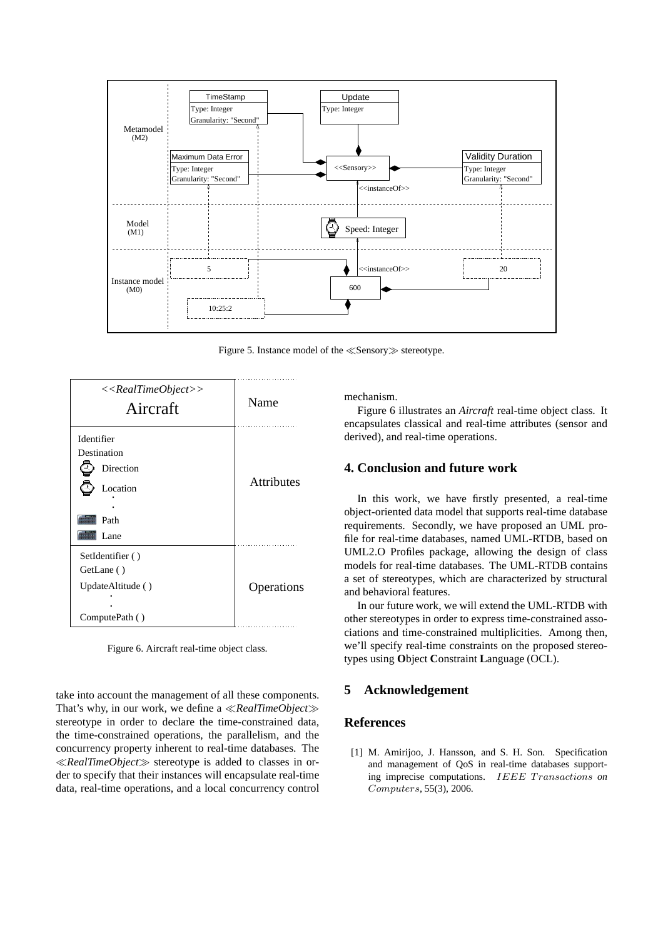

Figure 5. Instance model of the ≪Sensory≫ stereotype.



Figure 6. Aircraft real-time object class.

take into account the management of all these components. That's why, in our work, we define a ≪*RealTimeObject*≫ stereotype in order to declare the time-constrained data, the time-constrained operations, the parallelism, and the concurrency property inherent to real-time databases. The ≪*RealTimeObject*≫ stereotype is added to classes in order to specify that their instances will encapsulate real-time data, real-time operations, and a local concurrency control mechanism.

Figure 6 illustrates an *Aircraft* real-time object class. It encapsulates classical and real-time attributes (sensor and derived), and real-time operations.

## **4. Conclusion and future work**

In this work, we have firstly presented, a real-time object-oriented data model that supports real-time database requirements. Secondly, we have proposed an UML profile for real-time databases, named UML-RTDB, based on UML2.O Profiles package, allowing the design of class models for real-time databases. The UML-RTDB contains a set of stereotypes, which are characterized by structural and behavioral features.

In our future work, we will extend the UML-RTDB with other stereotypes in order to express time-constrained associations and time-constrained multiplicities. Among then, we'll specify real-time constraints on the proposed stereotypes using **O**bject **C**onstraint **L**anguage (OCL).

# **5 Acknowledgement**

# **References**

[1] M. Amirijoo, J. Hansson, and S. H. Son. Specification and management of QoS in real-time databases supporting imprecise computations. IEEE Transactions *on* Computers, 55(3), 2006.